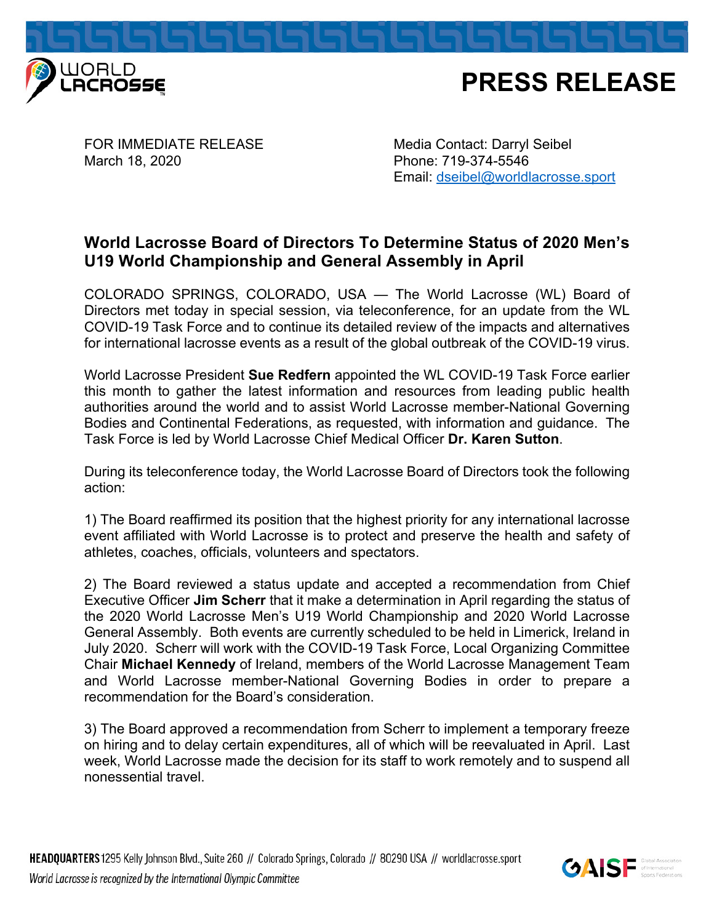



FOR IMMEDIATE RELEASE Media Contact: Darryl Seibel March 18, 2020 **Phone: 719-374-5546** 

Email: dseibel@worldlacrosse.sport

## **World Lacrosse Board of Directors To Determine Status of 2020 Men's U19 World Championship and General Assembly in April**

COLORADO SPRINGS, COLORADO, USA — The World Lacrosse (WL) Board of Directors met today in special session, via teleconference, for an update from the WL COVID-19 Task Force and to continue its detailed review of the impacts and alternatives for international lacrosse events as a result of the global outbreak of the COVID-19 virus.

World Lacrosse President **Sue Redfern** appointed the WL COVID-19 Task Force earlier this month to gather the latest information and resources from leading public health authorities around the world and to assist World Lacrosse member-National Governing Bodies and Continental Federations, as requested, with information and guidance. The Task Force is led by World Lacrosse Chief Medical Officer **Dr. Karen Sutton**.

During its teleconference today, the World Lacrosse Board of Directors took the following action:

1) The Board reaffirmed its position that the highest priority for any international lacrosse event affiliated with World Lacrosse is to protect and preserve the health and safety of athletes, coaches, officials, volunteers and spectators.

2) The Board reviewed a status update and accepted a recommendation from Chief Executive Officer **Jim Scherr** that it make a determination in April regarding the status of the 2020 World Lacrosse Men's U19 World Championship and 2020 World Lacrosse General Assembly. Both events are currently scheduled to be held in Limerick, Ireland in July 2020. Scherr will work with the COVID-19 Task Force, Local Organizing Committee Chair **Michael Kennedy** of Ireland, members of the World Lacrosse Management Team and World Lacrosse member-National Governing Bodies in order to prepare a recommendation for the Board's consideration.

3) The Board approved a recommendation from Scherr to implement a temporary freeze on hiring and to delay certain expenditures, all of which will be reevaluated in April. Last week, World Lacrosse made the decision for its staff to work remotely and to suspend all nonessential travel.